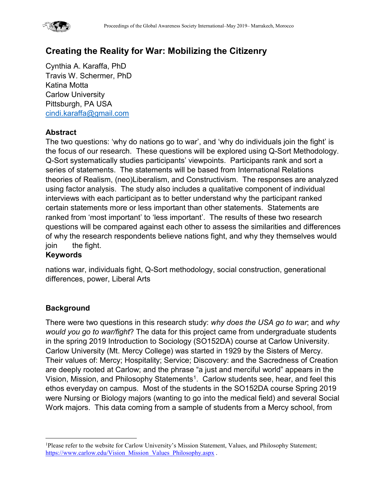

# **Creating the Reality for War: Mobilizing the Citizenry**

Cynthia A. Karaffa, PhD Travis W. Schermer, PhD Katina Motta Carlow University Pittsburgh, PA USA [cindi.karaffa@gmail.com](mailto:cindi.karaffa@gmail.com)

#### **Abstract**

The two questions: 'why do nations go to war', and 'why do individuals join the fight' is the focus of our research. These questions will be explored using Q-Sort Methodology. Q-Sort systematically studies participants' viewpoints. Participants rank and sort a series of statements. The statements will be based from International Relations theories of Realism, (neo)Liberalism, and Constructivism. The responses are analyzed using factor analysis. The study also includes a qualitative component of individual interviews with each participant as to better understand why the participant ranked certain statements more or less important than other statements. Statements are ranked from 'most important' to 'less important'. The results of these two research questions will be compared against each other to assess the similarities and differences of why the research respondents believe nations fight, and why they themselves would join the fight.

#### **Keywords**

nations war, individuals fight, Q-Sort methodology, social construction, generational differences, power, Liberal Arts

#### **Background**

There were two questions in this research study: *why does the USA go to war*; and *why would you go to war/fight*? The data for this project came from undergraduate students in the spring 2019 Introduction to Sociology (SO152DA) course at Carlow University. Carlow University (Mt. Mercy College) was started in 1929 by the Sisters of Mercy. Their values of: Mercy; Hospitality; Service; Discovery: and the Sacredness of Creation are deeply rooted at Carlow; and the phrase "a just and merciful world" appears in the Vision, Mission, and Philosophy Statements<sup>1</sup>. Carlow students see, hear, and feel this ethos everyday on campus. Most of the students in the SO152DA course Spring 2019 were Nursing or Biology majors (wanting to go into the medical field) and several Social Work majors. This data coming from a sample of students from a Mercy school, from

<span id="page-0-0"></span> $\frac{1}{1}$ <sup>1</sup>Please refer to the website for Carlow University's Mission Statement, Values, and Philosophy Statement; [https://www.carlow.edu/Vision\\_Mission\\_Values\\_Philosophy.aspx](https://www.carlow.edu/Vision_Mission_Values_Philosophy.aspx) .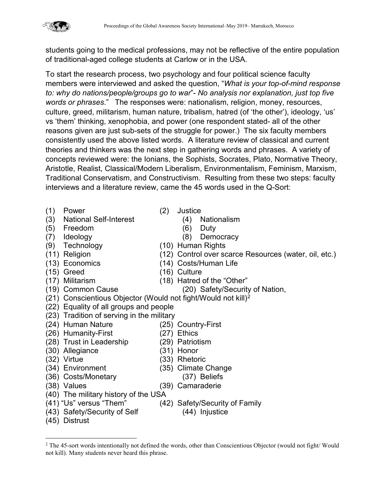students going to the medical professions, may not be reflective of the entire population of traditional-aged college students at Carlow or in the USA.

To start the research process, two psychology and four political science faculty members were interviewed and asked the question, "*What is your top-of-mind response to: why do nations/people/groups go to war*"- *No analysis nor explanation, just top five words or phrases*." The responses were: nationalism, religion, money, resources, culture, greed, militarism, human nature, tribalism, hatred (of 'the other'), ideology, 'us' vs 'them' thinking, xenophobia, and power (one respondent stated- all of the other reasons given are just sub-sets of the struggle for power.) The six faculty members consistently used the above listed words. A literature review of classical and current theories and thinkers was the next step in gathering words and phrases. A variety of concepts reviewed were: the Ionians, the Sophists, Socrates, Plato, Normative Theory, Aristotle, Realist, Classical/Modern Liberalism, Environmentalism, Feminism, Marxism, Traditional Conservatism, and Constructivism. Resulting from these two steps: faculty interviews and a literature review, came the 45 words used in the Q-Sort:

- (1) Power (2) Justice
- (3) National Self-Interest (4) Nationalism
- (5) Freedom (6) Duty
- 
- 
- 
- 
- 
- 
- 
- ([2](#page-1-0)1) Conscientious Objector (Would not fight/Would not kill)<sup>2</sup>
- (22) Equality of all groups and people
- (23) Tradition of serving in the military
- 
- (26) Humanity-First (27) Ethics
- (28) Trust in Leadership (29) Patriotism
- (30) Allegiance (31) Honor
- 
- 
- 
- 
- 
- 
- (43) Safety/Security of Self (44) Injustice
- (45) Distrust
- -
	-
- (7) Ideology (8) Democracy
- (9) Technology (10) Human Rights
- (11) Religion (12) Control over scarce Resources (water, oil, etc.)
- (13) Economics (14) Costs/Human Life
- (15) Greed (16) Culture
- (17) Militarism (18) Hatred of the "Other"
- (19) Common Cause (20) Safety/Security of Nation,
- 
- 
- 
- (24) Human Nature (25) Country-First
	-
	-
	-
- (32) Virtue (33) Rhetoric
- (34) Environment (35) Climate Change
- (36) Costs/Monetary (37) Beliefs
- (38) Values (39) Camaraderie
- (40) The military history of the USA
- (41) "Us" versus "Them" (42) Safety/Security of Family
	-

<span id="page-1-0"></span><sup>&</sup>lt;sup>2</sup> The 45-sort words intentionally not defined the words, other than Conscientious Objector (would not fight/Would not kill). Many students never heard this phrase.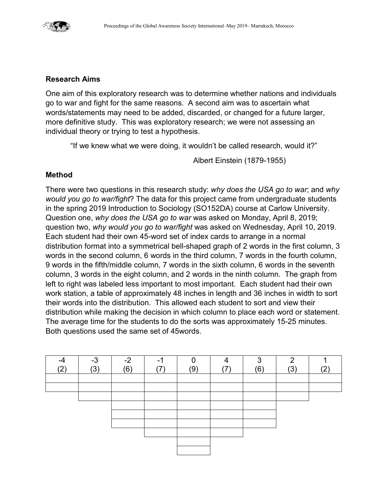

#### **Research Aims**

One aim of this exploratory research was to determine whether nations and individuals go to war and fight for the same reasons. A second aim was to ascertain what words/statements may need to be added, discarded, or changed for a future larger, more definitive study. This was exploratory research; we were not assessing an individual theory or trying to test a hypothesis.

"If we knew what we were doing, it wouldn't be called research, would it?"

Albert Einstein (1879-1955)

#### **Method**

There were two questions in this research study: *why does the USA go to war*; and *why would you go to war/fight*? The data for this project came from undergraduate students in the spring 2019 Introduction to Sociology (SO152DA) course at Carlow University. Question one, *why does the USA go to war* was asked on Monday, April 8, 2019; question two, *why would you go to war/fight* was asked on Wednesday, April 10, 2019. Each student had their own 45-word set of index cards to arrange in a normal distribution format into a symmetrical bell-shaped graph of 2 words in the first column, 3 words in the second column, 6 words in the third column, 7 words in the fourth column, 9 words in the fifth/middle column, 7 words in the sixth column, 6 words in the seventh column, 3 words in the eight column, and 2 words in the ninth column. The graph from left to right was labeled less important to most important. Each student had their own work station, a table of approximately 48 inches in length and 36 inches in width to sort their words into the distribution. This allowed each student to sort and view their distribution while making the decision in which column to place each word or statement. The average time for the students to do the sorts was approximately 15-25 minutes. Both questions used the same set of 45words.

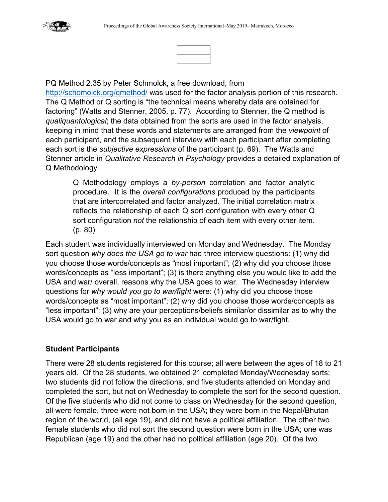

PQ Method 2.35 by Peter Schmolck, a free download, from

<http://schomolck.org/qmethod/> was used for the factor analysis portion of this research. The Q Method or Q sorting is "the technical means whereby data are obtained for factoring" (Watts and Stenner, 2005, p. 77). According to Stenner, the Q method is *qualiquantological*; the data obtained from the sorts are used in the factor analysis, keeping in mind that these words and statements are arranged from the *viewpoint* of each participant, and the subsequent interview with each participant after completing each sort is the *subjective expressions* of the participant (p. 69). The Watts and Stenner article in *Qualitative Research in Psychology* provides a detailed explanation of Q Methodology.

Q Methodology employs a *by-person* correlation and factor analytic procedure. It is the *overall configurations* produced by the participants that are intercorrelated and factor analyzed. The initial correlation matrix reflects the relationship of each Q sort configuration with every other Q sort configuration *not* the relationship of each item with every other item. (p. 80)

Each student was individually interviewed on Monday and Wednesday. The Monday sort question *why does the USA go to war* had three interview questions: (1) why did you choose those words/concepts as "most important"; (2) why did you choose those words/concepts as "less important"; (3) is there anything else you would like to add the USA and war/ overall, reasons why the USA goes to war. The Wednesday interview questions for *why would you go to war/fight* were: (1) why did you choose those words/concepts as "most important"; (2) why did you choose those words/concepts as "less important"; (3) why are your perceptions/beliefs similar/or dissimilar as to why the USA would go to war and why you as an individual would go to war/fight.

#### **Student Participants**

There were 28 students registered for this course; all were between the ages of 18 to 21 years old. Of the 28 students, we obtained 21 completed Monday/Wednesday sorts; two students did not follow the directions, and five students attended on Monday and completed the sort, but not on Wednesday to complete the sort for the second question. Of the five students who did not come to class on Wednesday for the second question, all were female, three were not born in the USA; they were born in the Nepal/Bhutan region of the world, (all age 19), and did not have a political affiliation. The other two female students who did not sort the second question were born in the USA; one was Republican (age 19) and the other had no political affiliation (age 20). Of the two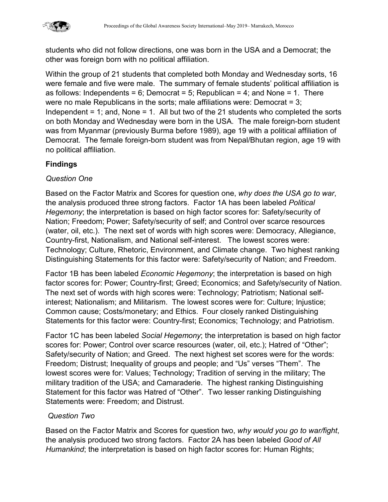

students who did not follow directions, one was born in the USA and a Democrat; the other was foreign born with no political affiliation.

Within the group of 21 students that completed both Monday and Wednesday sorts, 16 were female and five were male. The summary of female students' political affiliation is as follows: Independents = 6; Democrat = 5; Republican = 4; and None = 1. There were no male Republicans in the sorts; male affiliations were: Democrat = 3; Independent = 1; and, None = 1. All but two of the 21 students who completed the sorts on both Monday and Wednesday were born in the USA. The male foreign-born student was from Myanmar (previously Burma before 1989), age 19 with a political affiliation of Democrat. The female foreign-born student was from Nepal/Bhutan region, age 19 with no political affiliation.

## **Findings**

#### *Question One*

Based on the Factor Matrix and Scores for question one, *why does the USA go to war*, the analysis produced three strong factors. Factor 1A has been labeled *Political Hegemony*; the interpretation is based on high factor scores for: Safety/security of Nation; Freedom; Power; Safety/security of self; and Control over scarce resources (water, oil, etc.). The next set of words with high scores were: Democracy, Allegiance, Country-first, Nationalism, and National self-interest. The lowest scores were: Technology; Culture, Rhetoric, Environment, and Climate change. Two highest ranking Distinguishing Statements for this factor were: Safety/security of Nation; and Freedom.

Factor 1B has been labeled *Economic Hegemony*; the interpretation is based on high factor scores for: Power; Country-first; Greed; Economics; and Safety/security of Nation. The next set of words with high scores were: Technology; Patriotism; National selfinterest; Nationalism; and Militarism. The lowest scores were for: Culture; Injustice; Common cause; Costs/monetary; and Ethics. Four closely ranked Distinguishing Statements for this factor were: Country-first; Economics; Technology; and Patriotism.

Factor 1C has been labeled *Social Hegemony*; the interpretation is based on high factor scores for: Power; Control over scarce resources (water, oil, etc.); Hatred of "Other"; Safety/security of Nation; and Greed. The next highest set scores were for the words: Freedom; Distrust; Inequality of groups and people; and "Us" verses "Them". The lowest scores were for: Values; Technology; Tradition of serving in the military; The military tradition of the USA; and Camaraderie. The highest ranking Distinguishing Statement for this factor was Hatred of "Other". Two lesser ranking Distinguishing Statements were: Freedom; and Distrust.

#### *Question Two*

Based on the Factor Matrix and Scores for question two, *why would you go to war/fight*, the analysis produced two strong factors. Factor 2A has been labeled *Good of All Humankind*; the interpretation is based on high factor scores for: Human Rights;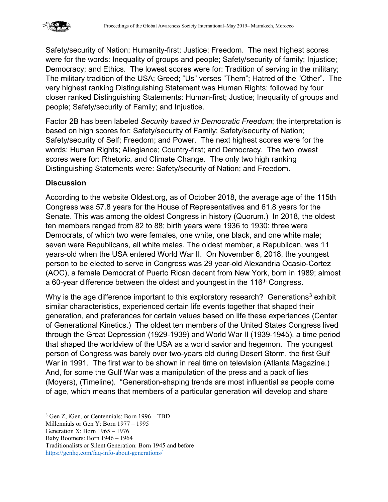

Safety/security of Nation; Humanity-first; Justice; Freedom. The next highest scores were for the words: Inequality of groups and people; Safety/security of family; Injustice; Democracy; and Ethics. The lowest scores were for: Tradition of serving in the military; The military tradition of the USA; Greed; "Us" verses "Them"; Hatred of the "Other". The very highest ranking Distinguishing Statement was Human Rights; followed by four closer ranked Distinguishing Statements: Human-first; Justice; Inequality of groups and people; Safety/security of Family; and Injustice.

Factor 2B has been labeled *Security based in Democratic Freedom*; the interpretation is based on high scores for: Safety/security of Family; Safety/security of Nation; Safety/security of Self; Freedom; and Power. The next highest scores were for the words: Human Rights; Allegiance; Country-first; and Democracy. The two lowest scores were for: Rhetoric, and Climate Change. The only two high ranking Distinguishing Statements were: Safety/security of Nation; and Freedom.

#### **Discussion**

According to the website Oldest.org, as of October 2018, the average age of the 115th Congress was 57.8 years for the House of Representatives and 61.8 years for the Senate. This was among the oldest Congress in history (Quorum.) In 2018, the oldest ten members ranged from 82 to 88; birth years were 1936 to 1930: three were Democrats, of which two were females, one white, one black, and one white male; seven were Republicans, all white males. The oldest member, a Republican, was 11 years-old when the USA entered World War II. On November 6, 2018, the youngest person to be elected to serve in Congress was 29 year-old Alexandria Ocasio-Cortez (AOC), a female Democrat of Puerto Rican decent from New York, born in 1989; almost a 60-year difference between the oldest and youngest in the 116<sup>th</sup> Congress.

Why is the age difference important to this exploratory research? Generations<sup>[3](#page-5-0)</sup> exhibit similar characteristics, experienced certain life events together that shaped their generation, and preferences for certain values based on life these experiences (Center of Generational Kinetics.) The oldest ten members of the United States Congress lived through the Great Depression (1929-1939) and World War II (1939-1945), a time period that shaped the worldview of the USA as a world savior and hegemon. The youngest person of Congress was barely over two-years old during Desert Storm, the first Gulf War in 1991. The first war to be shown in real time on television (Atlanta Magazine.) And, for some the Gulf War was a manipulation of the press and a pack of lies (Moyers), (Timeline). "Generation-shaping trends are most influential as people come of age, which means that members of a particular generation will develop and share

Baby Boomers: Born 1946 – 1964

Traditionalists or Silent Generation: Born 1945 and before <https://genhq.com/faq-info-about-generations/>

<span id="page-5-0"></span> <sup>3</sup> Gen Z, iGen, or Centennials: Born 1996 – TBD

Millennials or Gen Y: Born 1977 – 1995

Generation X: Born 1965 – 1976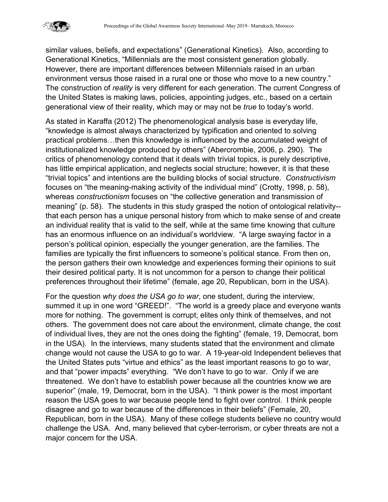

similar values, beliefs, and expectations" (Generational Kinetics). Also, according to Generational Kinetics, "Millennials are the most consistent generation globally. However, there are important differences between Millennials raised in an urban environment versus those raised in a rural one or those who move to a new country." The construction of *reality* is very different for each generation. The current Congress of the United States is making laws, policies, appointing judges, etc., based on a certain generational view of their reality, which may or may not be *true* to today's world.

As stated in Karaffa (2012) The phenomenological analysis base is everyday life, "knowledge is almost always characterized by typification and oriented to solving practical problems…then this knowledge is influenced by the accumulated weight of institutionalized knowledge produced by others" (Abercrombie, 2006, p. 290). The critics of phenomenology contend that it deals with trivial topics, is purely descriptive, has little empirical application, and neglects social structure; however, it is that these "trivial topics" and intentions are the building blocks of social structure. *Constructivism* focuses on "the meaning-making activity of the individual mind" (Crotty, 1998, p. 58), whereas *constructionism* focuses on "the collective generation and transmission of meaning" (p. 58). The students in this study grasped the notion of ontological relativity- that each person has a unique personal history from which to make sense of and create an individual reality that is valid to the self, while at the same time knowing that culture has an enormous influence on an individual's worldview. "A large swaying factor in a person's political opinion, especially the younger generation, are the families. The families are typically the first influencers to someone's political stance. From then on, the person gathers their own knowledge and experiences forming their opinions to suit their desired political party. It is not uncommon for a person to change their political preferences throughout their lifetime" (female, age 20, Republican, born in the USA).

For the question *why does the USA go to war*, one student, during the interview, summed it up in one word "GREED!". "The world is a greedy place and everyone wants more for nothing. The government is corrupt; elites only think of themselves, and not others. The government does not care about the environment, climate change, the cost of individual lives, they are not the ones doing the fighting" (female, 19, Democrat, born in the USA). In the interviews, many students stated that the environment and climate change would not cause the USA to go to war. A 19-year-old Independent believes that the United States puts "virtue and ethics" as the least important reasons to go to war, and that "power impacts" everything. "We don't have to go to war. Only if we are threatened. We don't have to establish power because all the countries know we are superior" (male, 19, Democrat, born in the USA). "I think power is the most important reason the USA goes to war because people tend to fight over control. I think people disagree and go to war because of the differences in their beliefs" (Female, 20, Republican, born in the USA). Many of these college students believe no country would challenge the USA. And, many believed that cyber-terrorism, or cyber threats are not a major concern for the USA.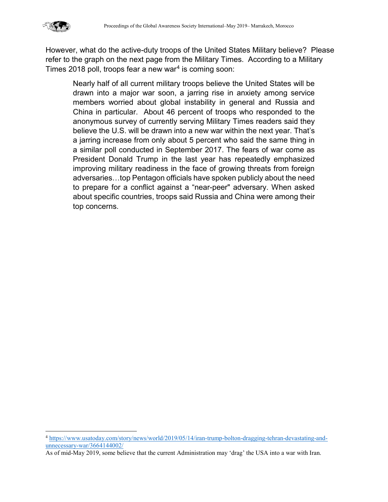

However, what do the active-duty troops of the United States Military believe? Please refer to the graph on the next page from the Military Times. According to a Military Times 2018 poll, troops fear a new war[4](#page-7-0) is coming soon:

Nearly half of all current military troops believe the United States will be drawn into a major war soon, a jarring rise in anxiety among service members worried about global instability in general and Russia and China in particular. About 46 percent of troops who responded to the anonymous survey of currently serving Military Times readers said they believe the U.S. will be drawn into a new war within the next year. That's a jarring increase from only about 5 percent who said the same thing in a similar poll conducted in September 2017. The fears of war come as President Donald Trump in the last year has repeatedly emphasized improving military readiness in the face of growing threats from foreign adversaries…top Pentagon officials have spoken publicly about the need to prepare for a conflict against a "near-peer" adversary. When asked about specific countries, troops said Russia and China were among their top concerns.

<span id="page-7-0"></span> <sup>4</sup> [https://www.usatoday.com/story/news/world/2019/05/14/iran-trump-bolton-dragging-tehran-devastating-and](https://www.usatoday.com/story/news/world/2019/05/14/iran-trump-bolton-dragging-tehran-devastating-and-unnecessary-war/3664144002/)[unnecessary-war/3664144002/](https://www.usatoday.com/story/news/world/2019/05/14/iran-trump-bolton-dragging-tehran-devastating-and-unnecessary-war/3664144002/)

As of mid-May 2019, some believe that the current Administration may 'drag' the USA into a war with Iran.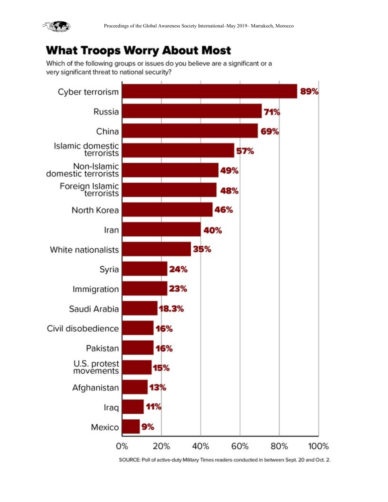

# **What Troops Worry About Most**

Which of the following groups or issues do you believe are a significant or a very significant threat to national security?



SOURCE: Poll of active-duty Military Times readers conducted in between Sept. 20 and Oct. 2.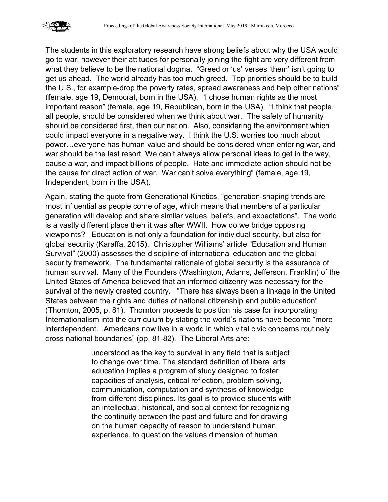

The students in this exploratory research have strong beliefs about why the USA would go to war, however their attitudes for personally joining the fight are very different from what they believe to be the national dogma. "Greed or 'us' verses 'them' isn't going to get us ahead. The world already has too much greed. Top priorities should be to build the U.S., for example-drop the poverty rates, spread awareness and help other nations" (female, age 19, Democrat, born in the USA). "I chose human rights as the most important reason" (female, age 19, Republican, born in the USA). "I think that people, all people, should be considered when we think about war. The safety of humanity should be considered first, then our nation. Also, considering the environment which could impact everyone in a negative way. I think the U.S. worries too much about power…everyone has human value and should be considered when entering war, and war should be the last resort. We can't always allow personal ideas to get in the way, cause a war, and impact billions of people. Hate and immediate action should not be the cause for direct action of war. War can't solve everything" (female, age 19, Independent, born in the USA).

Again, stating the quote from Generational Kinetics, "generation-shaping trends are most influential as people come of age, which means that members of a particular generation will develop and share similar values, beliefs, and expectations". The world is a vastly different place then it was after WWII. How do we bridge opposing viewpoints? Education is not only a foundation for individual security, but also for global security (Karaffa, 2015). Christopher Williams' article "Education and Human Survival" (2000) assesses the discipline of international education and the global security framework. The fundamental rationale of global security is the assurance of human survival. Many of the Founders (Washington, Adams, Jefferson, Franklin) of the United States of America believed that an informed citizenry was necessary for the survival of the newly created country. "There has always been a linkage in the United States between the rights and duties of national citizenship and public education" (Thornton, 2005, p. 81). Thornton proceeds to position his case for incorporating Internationalism into the curriculum by stating the world's nations have become "more interdependent…Americans now live in a world in which vital civic concerns routinely cross national boundaries" (pp. 81-82). The Liberal Arts are:

> understood as the key to survival in any field that is subject to change over time. The standard definition of liberal arts education implies a program of study designed to foster capacities of analysis, critical reflection, problem solving, communication, computation and synthesis of knowledge from different disciplines. Its goal is to provide students with an intellectual, historical, and social context for recognizing the continuity between the past and future and for drawing on the human capacity of reason to understand human experience, to question the values dimension of human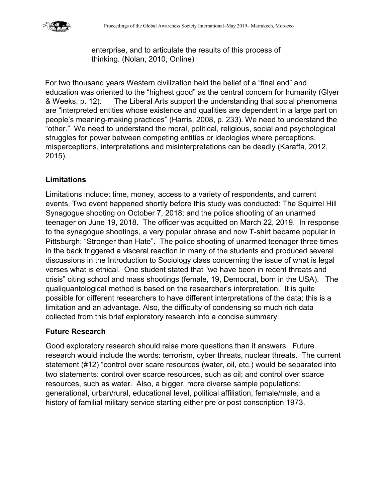

enterprise, and to articulate the results of this process of thinking. (Nolan, 2010, Online)

For two thousand years Western civilization held the belief of a "final end" and education was oriented to the "highest good" as the central concern for humanity (Glyer & Weeks, p. 12). The Liberal Arts support the understanding that social phenomena are "interpreted entities whose existence and qualities are dependent in a large part on people's meaning-making practices" (Harris, 2008, p. 233). We need to understand the "other." We need to understand the moral, political, religious, social and psychological struggles for power between competing entities or ideologies where perceptions, misperceptions, interpretations and misinterpretations can be deadly (Karaffa, 2012, 2015).

## **Limitations**

Limitations include: time, money, access to a variety of respondents, and current events. Two event happened shortly before this study was conducted: The Squirrel Hill Synagogue shooting on October 7, 2018; and the police shooting of an unarmed teenager on June 19, 2018. The officer was acquitted on March 22, 2019. In response to the synagogue shootings, a very popular phrase and now T-shirt became popular in Pittsburgh; "Stronger than Hate". The police shooting of unarmed teenager three times in the back triggered a visceral reaction in many of the students and produced several discussions in the Introduction to Sociology class concerning the issue of what is legal verses what is ethical. One student stated that "we have been in recent threats and crisis" citing school and mass shootings (female, 19, Democrat, born in the USA). The qualiquantological method is based on the researcher's interpretation. It is quite possible for different researchers to have different interpretations of the data; this is a limitation and an advantage. Also, the difficulty of condensing so much rich data collected from this brief exploratory research into a concise summary.

#### **Future Research**

Good exploratory research should raise more questions than it answers. Future research would include the words: terrorism, cyber threats, nuclear threats. The current statement (#12) "control over scare resources (water, oil, etc.) would be separated into two statements: control over scarce resources, such as oil; and control over scarce resources, such as water. Also, a bigger, more diverse sample populations: generational, urban/rural, educational level, political affiliation, female/male, and a history of familial military service starting either pre or post conscription 1973.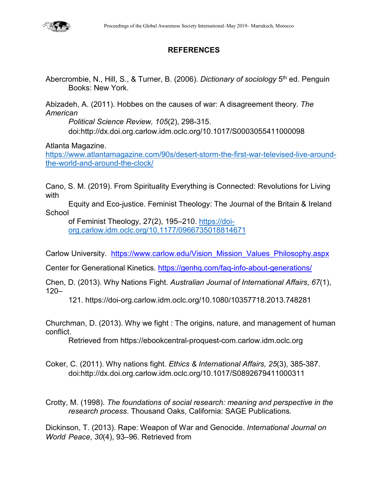

## **REFERENCES**

Abercrombie, N., Hill, S., & Turner, B. (2006). *Dictionary of sociology* 5th ed. Penguin Books: New York.

Abizadeh, A. (2011). Hobbes on the causes of war: A disagreement theory. *The American*

*Political Science Review, 105*(2), 298-315. doi:http://dx.doi.org.carlow.idm.oclc.org/10.1017/S0003055411000098

Atlanta Magazine.

[https://www.atlantamagazine.com/90s/desert-storm-the-first-war-televised-live-around](https://www.atlantamagazine.com/90s/desert-storm-the-first-war-televised-live-around-the-world-and-around-the-clock/)[the-world-and-around-the-clock/](https://www.atlantamagazine.com/90s/desert-storm-the-first-war-televised-live-around-the-world-and-around-the-clock/) 

Cano, S. M. (2019). From Spirituality Everything is Connected: Revolutions for Living with

Equity and Eco-justice. Feminist Theology: The Journal of the Britain & Ireland **School** 

of Feminist Theology, 27(2), 195–210. [https://doi](https://doi-org.carlow.idm.oclc.org/10.1177/0966735018814671)[org.carlow.idm.oclc.org/10.1177/0966735018814671](https://doi-org.carlow.idm.oclc.org/10.1177/0966735018814671)

Carlow University. [https://www.carlow.edu/Vision\\_Mission\\_Values\\_Philosophy.aspx](https://www.carlow.edu/Vision_Mission_Values_Philosophy.aspx)

Center for Generational Kinetics.<https://genhq.com/faq-info-about-generations/>

Chen, D. (2013). Why Nations Fight. *Australian Journal of International Affairs*, *67*(1), 120–

121. https://doi-org.carlow.idm.oclc.org/10.1080/10357718.2013.748281

Churchman, D. (2013). Why we fight : The origins, nature, and management of human conflict.

Retrieved from https://ebookcentral-proquest-com.carlow.idm.oclc.org

Coker, C. (2011). Why nations fight. *Ethics & International Affairs, 25*(3), 385-387. doi:http://dx.doi.org.carlow.idm.oclc.org/10.1017/S0892679411000311

Crotty, M. (1998). *The foundations of social research: meaning and perspective in the research process*. Thousand Oaks, California: SAGE Publications.

Dickinson, T. (2013). Rape: Weapon of War and Genocide. *International Journal on World Peace*, *30*(4), 93–96. Retrieved from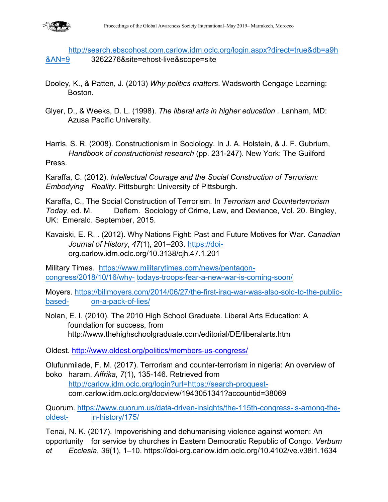

[http://search.ebscohost.com.carlow.idm.oclc.org/login.aspx?direct=true&db=a9h](http://search.ebscohost.com.carlow.idm.oclc.org/login.aspx?direct=true&db=a9h&AN=9) [&AN=9](http://search.ebscohost.com.carlow.idm.oclc.org/login.aspx?direct=true&db=a9h&AN=9) 3262276&site=ehost-live&scope=site

- Dooley, K., & Patten, J. (2013) *Why politics matters*. Wadsworth Cengage Learning: Boston.
- Glyer, D., & Weeks, D. L. (1998). *The liberal arts in higher education .* Lanham, MD: Azusa Pacific University.

Harris, S. R. (2008). Constructionism in Sociology. In J. A. Holstein, & J. F. Gubrium, *Handbook of constructionist research* (pp. 231-247). New York: The Guilford Press.

Karaffa, C. (2012). *Intellectual Courage and the Social Construction of Terrorism: Embodying Reality*. Pittsburgh: University of Pittsburgh.

Karaffa, C., The Social Construction of Terrorism. In *Terrorism and Counterterrorism Today*, ed. M. Deflem. Sociology of Crime, Law, and Deviance, Vol. 20. Bingley, UK: Emerald. September, 2015.

Kavaiski, E. R. . (2012). Why Nations Fight: Past and Future Motives for War. *Canadian Journal of History*, *47*(1), 201–203. [https://doi](https://doi-/)org.carlow.idm.oclc.org/10.3138/cjh.47.1.201

Military Times. [https://www.militarytimes.com/news/pentagon](https://www.militarytimes.com/news/pentagon-congress/2018/10/16/why-%09todays-troops-fear-a-new-war-is-coming-soon/)congress/2018/10/16/why- [todays-troops-fear-a-new-war-is-coming-soon/](https://www.militarytimes.com/news/pentagon-congress/2018/10/16/why-%09todays-troops-fear-a-new-war-is-coming-soon/)

Moyers. [https://billmoyers.com/2014/06/27/the-first-iraq-war-was-also-sold-to-the-public](https://billmoyers.com/2014/06/27/the-first-iraq-war-was-also-sold-to-the-public-based-%09on-a-pack-of-lies/)based- [on-a-pack-of-lies/](https://billmoyers.com/2014/06/27/the-first-iraq-war-was-also-sold-to-the-public-based-%09on-a-pack-of-lies/)

Nolan, E. I. (2010). The 2010 High School Graduate. Liberal Arts Education: A foundation for success, from http://www.thehighschoolgraduate.com/editorial/DE/liberalarts.htm

Oldest.<http://www.oldest.org/politics/members-us-congress/>

Olufunmilade, F. M. (2017). Terrorism and counter-terrorism in nigeria: An overview of boko haram. *Affrika, 7*(1), 135-146. Retrieved from

[http://carlow.idm.oclc.org/login?url=https://search-proquest](http://carlow.idm.oclc.org/login?url=https://search-proquest-)com.carlow.idm.oclc.org/docview/1943051341?accountid=38069

Quorum. [https://www.quorum.us/data-driven-insights/the-115th-congress-is-among-the](https://www.quorum.us/data-driven-insights/the-115th-congress-is-among-the-oldest-%09in-history/175/)oldest- [in-history/175/](https://www.quorum.us/data-driven-insights/the-115th-congress-is-among-the-oldest-%09in-history/175/)

Tenai, N. K. (2017). Impoverishing and dehumanising violence against women: An opportunity for service by churches in Eastern Democratic Republic of Congo. *Verbum et Ecclesia*, *38*(1), 1–10. https://doi-org.carlow.idm.oclc.org/10.4102/ve.v38i1.1634